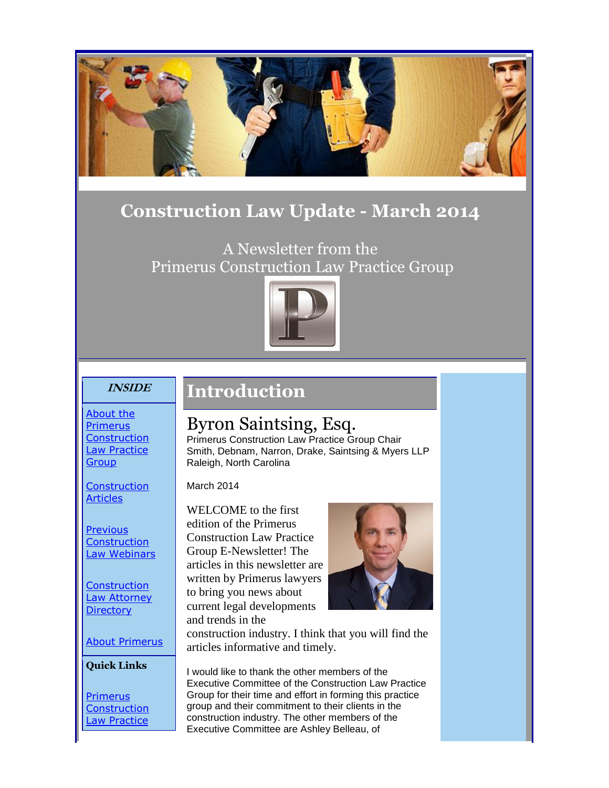

### **Construction Law Update - March 2014**

A Newsletter from the Primerus Construction Law Practice Group



#### **INSIDE**

### **Introduction**

[About the](#page-1-0)  [Primerus](#page-1-0)  **Construction** [Law Practice](#page-1-0)  **[Group](#page-1-0)** 

**Construction [Articles](#page-2-0)** 

**Previous Construction** [Law Webinars](#page-5-0)

**Construction** [Law Attorney](#page-6-0)  **[Directory](#page-6-0)** 

[About Primerus](#page-6-1)

**Quick Links**

[Primerus](http://r20.rs6.net/tn.jsp?e=0015tbhKWZFoeP1Fx_wL_X7BnY_qkJuGKN82tpyxwOv-zdLVVfV3Fr97O1MqTqLezW2V4ff_zpLWJabCmCIXbVjdnIQ9r3Xc334icSQXnvfGboiZXJob0FFyIuLNSJ5T8W1d-T1DVVyNd3VKGlBYeqGTOPfY0wuPk_w)  **Construction** Law Practice

# Byron Saintsing, Esq.

Primerus Construction Law Practice Group Chair Smith, Debnam, Narron, Drake, Saintsing & Myers LLP Raleigh, North Carolina

March 2014

WELCOME to the first edition of the Primerus Construction Law Practice Group E-Newsletter! The articles in this newsletter are written by Primerus lawyers to bring you news about current legal developments and trends in the



construction industry. I think that you will find the articles informative and timely.

I would like to thank the other members of the Executive Committee of the Construction Law Practice Group for their time and effort in forming this practice group and their commitment to their clients in the construction industry. The other members of the Executive Committee are Ashley Belleau, of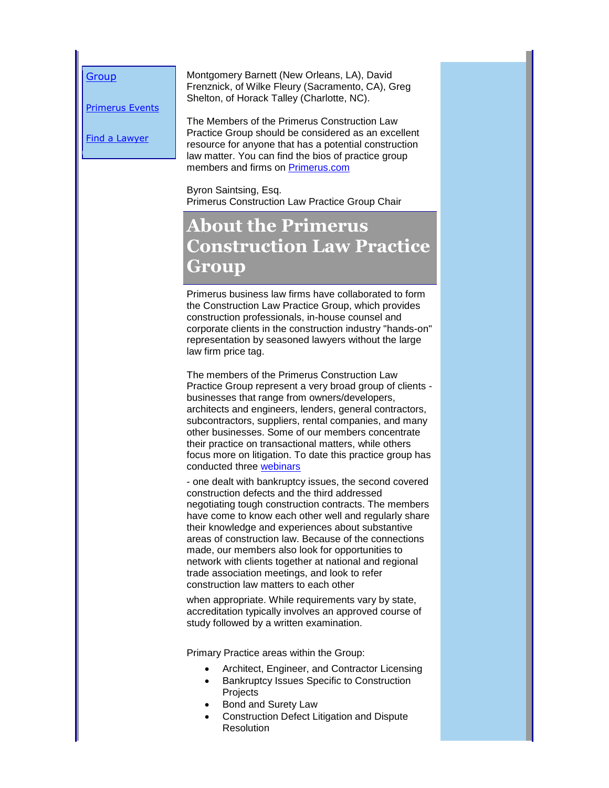**[Group](http://r20.rs6.net/tn.jsp?e=0015tbhKWZFoeP1Fx_wL_X7BnY_qkJuGKN82tpyxwOv-zdLVVfV3Fr97O1MqTqLezW2V4ff_zpLWJabCmCIXbVjdnIQ9r3Xc334icSQXnvfGboiZXJob0FFyIuLNSJ5T8W1d-T1DVVyNd3VKGlBYeqGTOPfY0wuPk_w)** 

[Primerus Events](http://r20.rs6.net/tn.jsp?e=0015tbhKWZFoeP1Fx_wL_X7BnY_qkJuGKN82tpyxwOv-zdLVVfV3Fr97O1MqTqLezW2V4ff_zpLWJabCmCIXbVjdnIQ9r3Xc334ZoG3TiUh687ml8YOOG2Q5A==)

[Find a Lawyer](http://r20.rs6.net/tn.jsp?e=0015tbhKWZFoeP1Fx_wL_X7BnY_qkJuGKN82tpyxwOv-zdLVVfV3Fr97O1MqTqLezW2V4ff_zpLWJabCmCIXbVjdnIQ9r3Xc334PhP0KKNQctkTZ9t55hIWpXb3zg-Erhbg)

Montgomery Barnett (New Orleans, LA), David Frenznick, of Wilke Fleury (Sacramento, CA), Greg Shelton, of Horack Talley (Charlotte, NC).

The Members of the Primerus Construction Law Practice Group should be considered as an excellent resource for anyone that has a potential construction law matter. You can find the bios of practice group members and firms on [Primerus.com](http://r20.rs6.net/tn.jsp?e=0015tbhKWZFoeP1Fx_wL_X7BnY_qkJuGKN82tpyxwOv-zdLVVfV3Fr97O1MqTqLezW2V4ff_zpLWJabCmCIXbVjdnIQ9r3Xc334icSQXnvfGboiZXJob0FFyIuLNSJ5T8W1d-T1DVVyNd3VKGlBYeqGTOPfY0wuPk_w)

Byron Saintsing, Esq. Primerus Construction Law Practice Group Chair

# **About the Primerus Construction Law Practice Group**

<span id="page-1-0"></span>Primerus business law firms have collaborated to form the Construction Law Practice Group, which provides construction professionals, in-house counsel and corporate clients in the construction industry "hands-on" representation by seasoned lawyers without the large law firm price tag.

The members of the Primerus Construction Law Practice Group represent a very broad group of clients businesses that range from owners/developers, architects and engineers, lenders, general contractors, subcontractors, suppliers, rental companies, and many other businesses. Some of our members concentrate their practice on transactional matters, while others focus more on litigation. To date this practice group has conducted three [webinars](#page-5-0)

- one dealt with bankruptcy issues, the second covered construction defects and the third addressed negotiating tough construction contracts. The members have come to know each other well and regularly share their knowledge and experiences about substantive areas of construction law. Because of the connections made, our members also look for opportunities to network with clients together at national and regional trade association meetings, and look to refer construction law matters to each other

when appropriate. While requirements vary by state, accreditation typically involves an approved course of study followed by a written examination.

Primary Practice areas within the Group:

- Architect, Engineer, and Contractor Licensing
- Bankruptcy Issues Specific to Construction **Projects**
- Bond and Surety Law
- Construction Defect Litigation and Dispute Resolution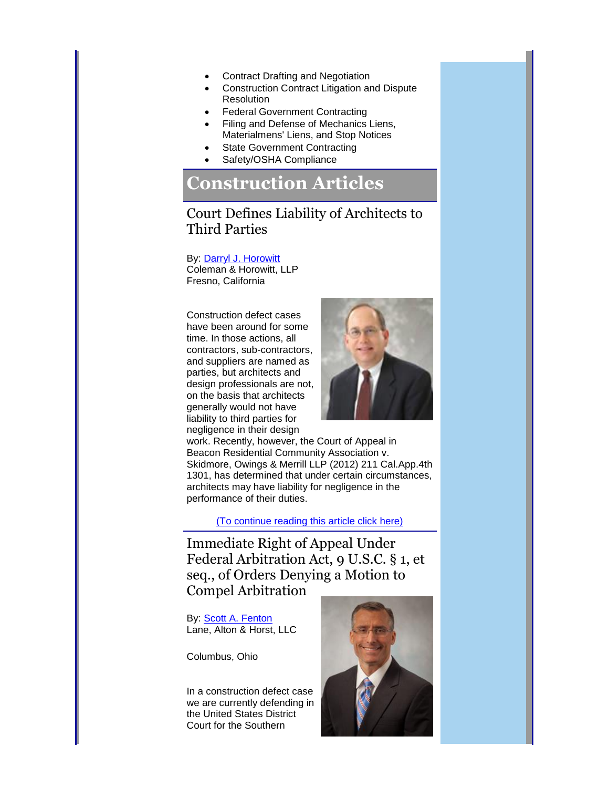- Contract Drafting and Negotiation
- Construction Contract Litigation and Dispute Resolution
- Federal Government Contracting
- Filing and Defense of Mechanics Liens, Materialmens' Liens, and Stop Notices
- State Government Contracting
- Safety/OSHA Compliance

### **Construction Articles**

#### Court Defines Liability of Architects to Third Parties

By: [Darryl J. Horowitt](http://r20.rs6.net/tn.jsp?e=0015tbhKWZFoeP1Fx_wL_X7BnY_qkJuGKN82tpyxwOv-zdLVVfV3Fr97O1MqTqLezW2V4ff_zpLWJabCmCIXbVjdnIQ9r3Xc334mI9r0bK5Y25EMYDjOlQJJbIqldFdeMevZyhevm6Unef7NJ7vM3ROA0ibm3-FNpp2ZFx8_Km06_Ukmod8xfhlxIvYen4dnuD0QGHY1PeXIVzlWWyZoCGdDg==) Coleman & Horowitt, LLP Fresno, California

Construction defect cases have been around for some time. In those actions, all contractors, sub-contractors, and suppliers are named as parties, but architects and design professionals are not, on the basis that architects generally would not have liability to third parties for negligence in their design

<span id="page-2-0"></span>

work. Recently, however, the Court of Appeal in Beacon Residential Community Association v. Skidmore, Owings & Merrill LLP (2012) 211 Cal.App.4th 1301, has determined that under certain circumstances, architects may have liability for negligence in the performance of their duties.

[\(To continue reading this article click here\)](http://r20.rs6.net/tn.jsp?e=0015tbhKWZFoeP1Fx_wL_X7BnY_qkJuGKN82tpyxwOv-zdLVVfV3Fr97O1MqTqLezW2V4ff_zpLWJabCmCIXbVjdnIQ9r3Xc334VzuIKopis-f3ogYYKiEbMKkq0Ce4ncELaA3xoAQO6YSue3I0-JaC1H2h7wlCaBaod-Xj_D2-6-jVNJyQEhDMFhtjMozGmXqBkRKBdMEEqA7ZW9FAkF1zoxvyxD44YE613Oz8wtFMGno=)

Immediate Right of Appeal Under Federal Arbitration Act, 9 U.S.C. § 1, et seq., of Orders Denying a Motion to Compel Arbitration

By: [Scott A. Fenton](http://r20.rs6.net/tn.jsp?e=0015tbhKWZFoeP1Fx_wL_X7BnY_qkJuGKN82tpyxwOv-zdLVVfV3Fr97O1MqTqLezW2V4ff_zpLWJabCmCIXbVjdnIQ9r3Xc334mI9r0bK5Y25EMYDjOlQJJdJfB-llyyeLuDSvjolssHA88-boOdrl82v_1MJ2ht2d9e-Ebm1HbFrHZ22sJuRj796JxGdO1WQgH1AHd33sDO0=) Lane, Alton & Horst, LLC

Columbus, Ohio

In a construction defect case we are currently defending in the United States District Court for the Southern

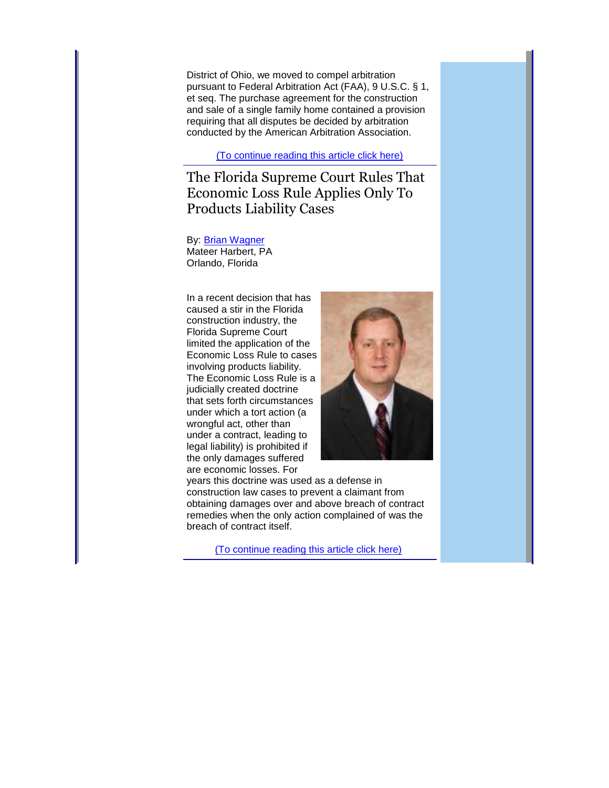District of Ohio, we moved to compel arbitration pursuant to Federal Arbitration Act (FAA), 9 U.S.C. § 1, et seq. The purchase agreement for the construction and sale of a single family home contained a provision requiring that all disputes be decided by arbitration conducted by the American Arbitration Association.

[\(To continue reading this article click here\)](http://r20.rs6.net/tn.jsp?e=0015tbhKWZFoeP1Fx_wL_X7BnY_qkJuGKN82tpyxwOv-zdLVVfV3Fr97O1MqTqLezW2V4ff_zpLWJabCmCIXbVjdnIQ9r3Xc334VzuIKopis-f3ogYYKiEbMKkq0Ce4ncELX1FaDUoYkVKcgIJQk5hbHYoPBSpZJ4TTcta03FATD1AYX9zzHtsM7T1hFLdUvFQPuteTnliNJCAH_NtT4xSqsflg6tIjGG7ogq7kxSLj4QNTuzO260N5DQ3_cPU2HlPb2qY9dVVbrAVIxypnX2gLH6iJN8a__zw2WNEl-KYyD6jHfqFpVGqTtPEwamb_IqgxX8U0Np0zHRU=)

The Florida Supreme Court Rules That Economic Loss Rule Applies Only To Products Liability Cases

By: [Brian Wagner](http://r20.rs6.net/tn.jsp?e=0015tbhKWZFoeP1Fx_wL_X7BnY_qkJuGKN82tpyxwOv-zdLVVfV3Fr97O1MqTqLezW2V4ff_zpLWJabCmCIXbVjdnIQ9r3Xc334mI9r0bK5Y25EMYDjOlQJJaR7PHkMunmUnWE1QALR12PIbl7qerxI-Ul2z0wFLqH4v1jLmSwntVSUm0sno9VA4uHqYf3f1KhluiM-V8EZWLs=) Mateer Harbert, PA Orlando, Florida

In a recent decision that has caused a stir in the Florida construction industry, the Florida Supreme Court limited the application of the Economic Loss Rule to cases involving products liability. The Economic Loss Rule is a judicially created doctrine that sets forth circumstances under which a tort action (a wrongful act, other than under a contract, leading to legal liability) is prohibited if the only damages suffered are economic losses. For



years this doctrine was used as a defense in construction law cases to prevent a claimant from obtaining damages over and above breach of contract remedies when the only action complained of was the breach of contract itself.

[\(To continue reading this article click here\)](http://r20.rs6.net/tn.jsp?e=0015tbhKWZFoeP1Fx_wL_X7BnY_qkJuGKN82tpyxwOv-zdLVVfV3Fr97O1MqTqLezW2V4ff_zpLWJabCmCIXbVjdnIQ9r3Xc334VzuIKopis-f3ogYYKiEbMKkq0Ce4ncELJVNNR6semzOyegcyTyaAQzHBp46y0ezA6Ht_DSIpdYS70-1B1DePCY5iI4EI94c5aAK1f95Prc9ZZoTDZ-zDJUjS_9tQ8Sa1LKfqLGWvZ1acV6ClnJdZ868gn8RPsp6rHqD2DfJg1Cguf1nDRSsTNJAr4kI4yE9X)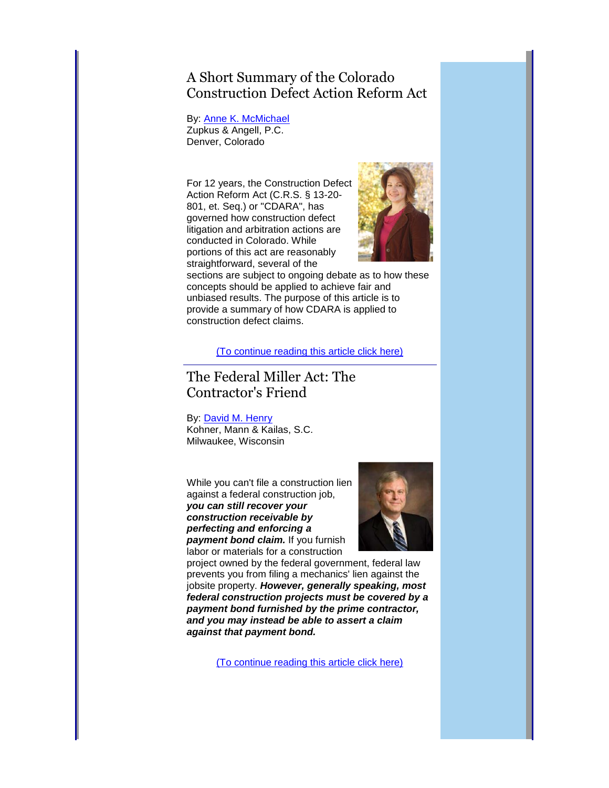### A Short Summary of the Colorado Construction Defect Action Reform Act

By: [Anne K. McMichael](http://r20.rs6.net/tn.jsp?e=0015tbhKWZFoeP1Fx_wL_X7BnY_qkJuGKN82tpyxwOv-zdLVVfV3Fr97O1MqTqLezW2V4ff_zpLWJabCmCIXbVjdnIQ9r3Xc334mI9r0bK5Y25EMYDjOlQJJT287EZP6fIFB59mLgfdwImFXzrDgLXxWKUkhtjgPXoY1llLbNIprnTrKKIuBos1pQze7YyesqRSJpI0O3m8FE0=) Zupkus & Angell, P.C. Denver, Colorado

For 12 years, the Construction Defect Action Reform Act (C.R.S. § 13-20- 801, et. Seq.) or "CDARA", has governed how construction defect litigation and arbitration actions are conducted in Colorado. While portions of this act are reasonably straightforward, several of the



sections are subject to ongoing debate as to how these concepts should be applied to achieve fair and unbiased results. The purpose of this article is to provide a summary of how CDARA is applied to construction defect claims.

[\(To continue reading this article click here\)](http://r20.rs6.net/tn.jsp?e=0015tbhKWZFoeP1Fx_wL_X7BnY_qkJuGKN82tpyxwOv-zdLVVfV3Fr97O1MqTqLezW2V4ff_zpLWJabCmCIXbVjdnIQ9r3Xc334xI_r-3yCT4GWKQubJXBVcqhZ7U4c8jsiobC1FK7H3Q1rY7kVzhV0WIoI4fl08rBHooFFCh5It6HxApdUlcUB2yhj75BdcQk--DbUbKalpfEnyGczdd8eqHdFIlUEZgMgeWKn52fjOeNyVV5lNvN1Lw==)

### The Federal Miller Act: The Contractor's Friend

#### By: [David M. Henry](http://r20.rs6.net/tn.jsp?e=0015tbhKWZFoeP1Fx_wL_X7BnY_qkJuGKN82tpyxwOv-zdLVVfV3Fr97O1MqTqLezW2V4ff_zpLWJabCmCIXbVjdnIQ9r3Xc334mI9r0bK5Y25EMYDjOlQJJQIyXSbgB8PsXhNRRtFRulbBCzDreE61uzK59ESY25h5I-fXToe8WHfELBzTfkwaeWWg96eo6G8_cG-vfBMpvSs7ubALZDiW4Q==)

Kohner, Mann & Kailas, S.C. Milwaukee, Wisconsin

While you can't file a construction lien against a federal construction job, *you can still recover your construction receivable by perfecting and enforcing a payment bond claim.* If you furnish labor or materials for a construction



project owned by the federal government, federal law prevents you from filing a mechanics' lien against the jobsite property. *However, generally speaking, most federal construction projects must be covered by a payment bond furnished by the prime contractor, and you may instead be able to assert a claim against that payment bond.*

[\(To continue reading this article click here\)](http://r20.rs6.net/tn.jsp?e=0015tbhKWZFoeP1Fx_wL_X7BnY_qkJuGKN82tpyxwOv-zdLVVfV3Fr97O1MqTqLezW2V4ff_zpLWJabCmCIXbVjdnIQ9r3Xc334VzuIKopis-f3ogYYKiEbMKkq0Ce4ncELJVNNR6semzNj2kREG4VIXsd7OziuEHjtAli4mNO7C1hz3JEz48W1w0ZPHkGuDxdBtSvNF_omIpfGaseGa_tFQQ==)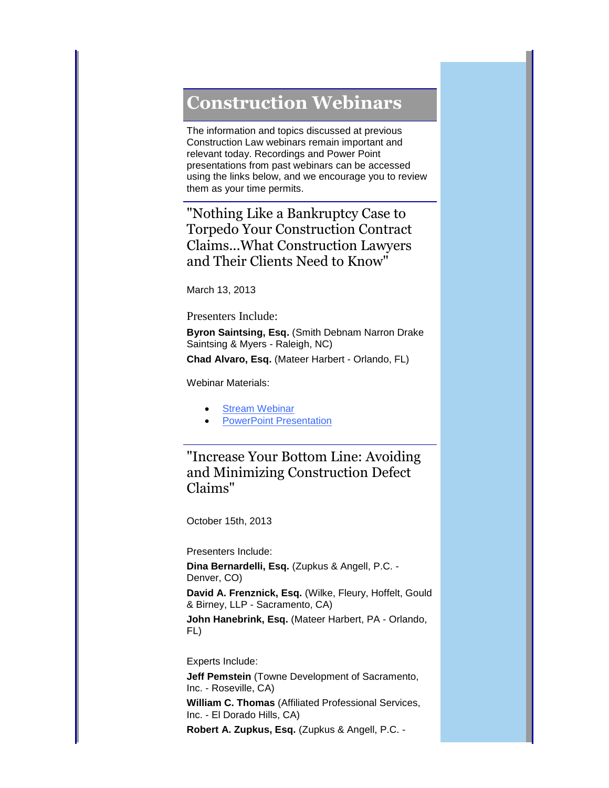## <span id="page-5-0"></span>**Construction Webinars**

The information and topics discussed at previous Construction Law webinars remain important and relevant today. Recordings and Power Point presentations from past webinars can be accessed using the links below, and we encourage you to review them as your time permits.

"Nothing Like a Bankruptcy Case to Torpedo Your Construction Contract Claims...What Construction Lawyers and Their Clients Need to Know"

March 13, 2013

Presenters Include:

**Byron Saintsing, Esq.** (Smith Debnam Narron Drake Saintsing & Myers - Raleigh, NC)

**Chad Alvaro, Esq.** (Mateer Harbert - Orlando, FL)

Webinar Materials:

- [Stream Webinar](http://r20.rs6.net/tn.jsp?e=0015tbhKWZFoeP1Fx_wL_X7BnY_qkJuGKN82tpyxwOv-zdLVVfV3Fr97O1MqTqLezW2NrKNJeHsS5DZez-ll0vKsjx5Gg6PW_hS_4J2l0LFyKsF0g1YbR8HuZULnlFUVoyiylRAbW4q4cn5Oiw9p8ngekXmFNccxBai_lnDSwwaQ2U9XI-lTJf9xy8al6xEMoGm)
- **[PowerPoint Presentation](http://r20.rs6.net/tn.jsp?e=0015tbhKWZFoeP1Fx_wL_X7BnY_qkJuGKN82tpyxwOv-zdLVVfV3Fr97O1MqTqLezW2V4ff_zpLWJabCmCIXbVjdnIQ9r3Xc334JVdw9s4j5OkCWiHq5TxmeUxm_ojBlmbGvchpB67MPLmuK9SA6z02mB-UGGH5Np7LVQBAIR_4mPJS4oKgmuLNwrLS_9v2oDJUHeRP4JUZdC4Pqs2ypnE-fp0HgVybExhZtXuEJVW15lyp4H2g_u30vhjNf1uO3sd9F9-ASPkATLA=)**

"Increase Your Bottom Line: Avoiding and Minimizing Construction Defect Claims"

October 15th, 2013

Presenters Include:

**Dina Bernardelli, Esq.** (Zupkus & Angell, P.C. - Denver, CO)

**David A. Frenznick, Esq.** (Wilke, Fleury, Hoffelt, Gould & Birney, LLP - Sacramento, CA)

**John Hanebrink, Esq.** (Mateer Harbert, PA - Orlando, FL)

Experts Include:

**Jeff Pemstein** (Towne Development of Sacramento, Inc. - Roseville, CA)

**William C. Thomas** (Affiliated Professional Services, Inc. - El Dorado Hills, CA)

**Robert A. Zupkus, Esq.** (Zupkus & Angell, P.C. -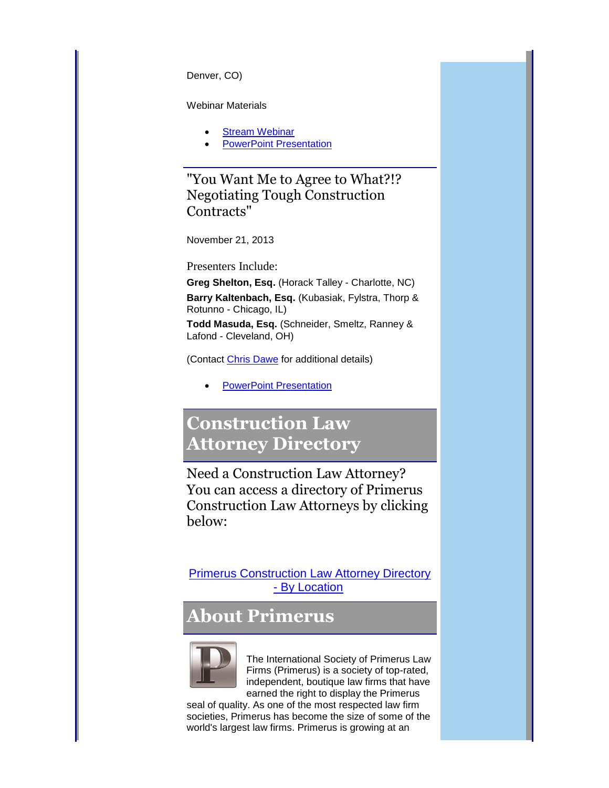Denver, CO)

Webinar Materials

- [Stream Webinar](http://r20.rs6.net/tn.jsp?e=0015tbhKWZFoeP1Fx_wL_X7BnY_qkJuGKN82tpyxwOv-zdLVVfV3Fr97O1MqTqLezW2NrKNJeHsS5DZez-ll0vKsjx5Gg6PW_hS_4J2l0LFyKsF0g1YbR8HuZULnlFUVoyiylRAbW4q4cn2pIZ6h8-DbiX2t-GEM1vIKL4dZgAXDg5DMCirGD75FgCoOFZZZgPY)
- [PowerPoint Presentation](http://r20.rs6.net/tn.jsp?e=0015tbhKWZFoeP1Fx_wL_X7BnY_qkJuGKN82tpyxwOv-zdLVVfV3Fr97O1MqTqLezW2V4ff_zpLWJabCmCIXbVjdnIQ9r3Xc334JVdw9s4j5OkCWiHq5TxmeUxm_ojBlmbGvchpB67MPLmPZCvd3-znZpkH6yTrgTUOlDg55DdDyIm1UO5oJH9ml1uq7miLYPLReQ5gryYexUY9F8ethA2Dvw==)

"You Want Me to Agree to What?!? Negotiating Tough Construction Contracts"

November 21, 2013

Presenters Include:

**Greg Shelton, Esq.** (Horack Talley - Charlotte, NC)

**Barry Kaltenbach, Esq.** (Kubasiak, Fylstra, Thorp & Rotunno - Chicago, IL)

**Todd Masuda, Esq.** (Schneider, Smeltz, Ranney & Lafond - Cleveland, OH)

(Contact [Chris Dawe](mailto:cdawe@divi.primerus.com) for additional details)

<span id="page-6-0"></span>[PowerPoint Presentation](http://r20.rs6.net/tn.jsp?e=0015tbhKWZFoeP1Fx_wL_X7BnY_qkJuGKN82tpyxwOv-zdLVVfV3Fr97O1MqTqLezW2V4ff_zpLWJabCmCIXbVjdnIQ9r3Xc334JVdw9s4j5OkCWiHq5TxmeUxm_ojBlmbG-7txopgTLrWAneWK8yJkQTK_kVjlSvyeiJwZ1TumC-3Q59UOg5CbfrdG_PTIjnIaK7cjbVb-N6ZIR4SYFun9gvuYPVhgZURUxmpQ5mGpSYHprkfCCdTBQHa9vLnrmkTB)

## **Construction Law Attorney Directory**

Need a Construction Law Attorney? You can access a directory of Primerus Construction Law Attorneys by clicking below:

[Primerus Construction Law Attorney Directory](http://r20.rs6.net/tn.jsp?e=0015tbhKWZFoeP1Fx_wL_X7BnY_qkJuGKN82tpyxwOv-zdLVVfV3Fr97O1MqTqLezW2V4ff_zpLWJabCmCIXbVjdnIQ9r3Xc334icSQXnvfGboiZXJob0FFyIuLNSJ5T8W1d-T1DVVyNd2kjjsrTyX5akMx3nANwuGourk2LXOSdr13cqjswFrBXA==)  - [By Location](http://r20.rs6.net/tn.jsp?e=0015tbhKWZFoeP1Fx_wL_X7BnY_qkJuGKN82tpyxwOv-zdLVVfV3Fr97O1MqTqLezW2V4ff_zpLWJabCmCIXbVjdnIQ9r3Xc334icSQXnvfGboiZXJob0FFyIuLNSJ5T8W1d-T1DVVyNd2kjjsrTyX5akMx3nANwuGourk2LXOSdr13cqjswFrBXA==)

## **About Primerus**



<span id="page-6-1"></span>The International Society of Primerus Law Firms (Primerus) is a society of top-rated, independent, boutique law firms that have earned the right to display the Primerus

seal of quality. As one of the most respected law firm societies, Primerus has become the size of some of the world's largest law firms. Primerus is growing at an